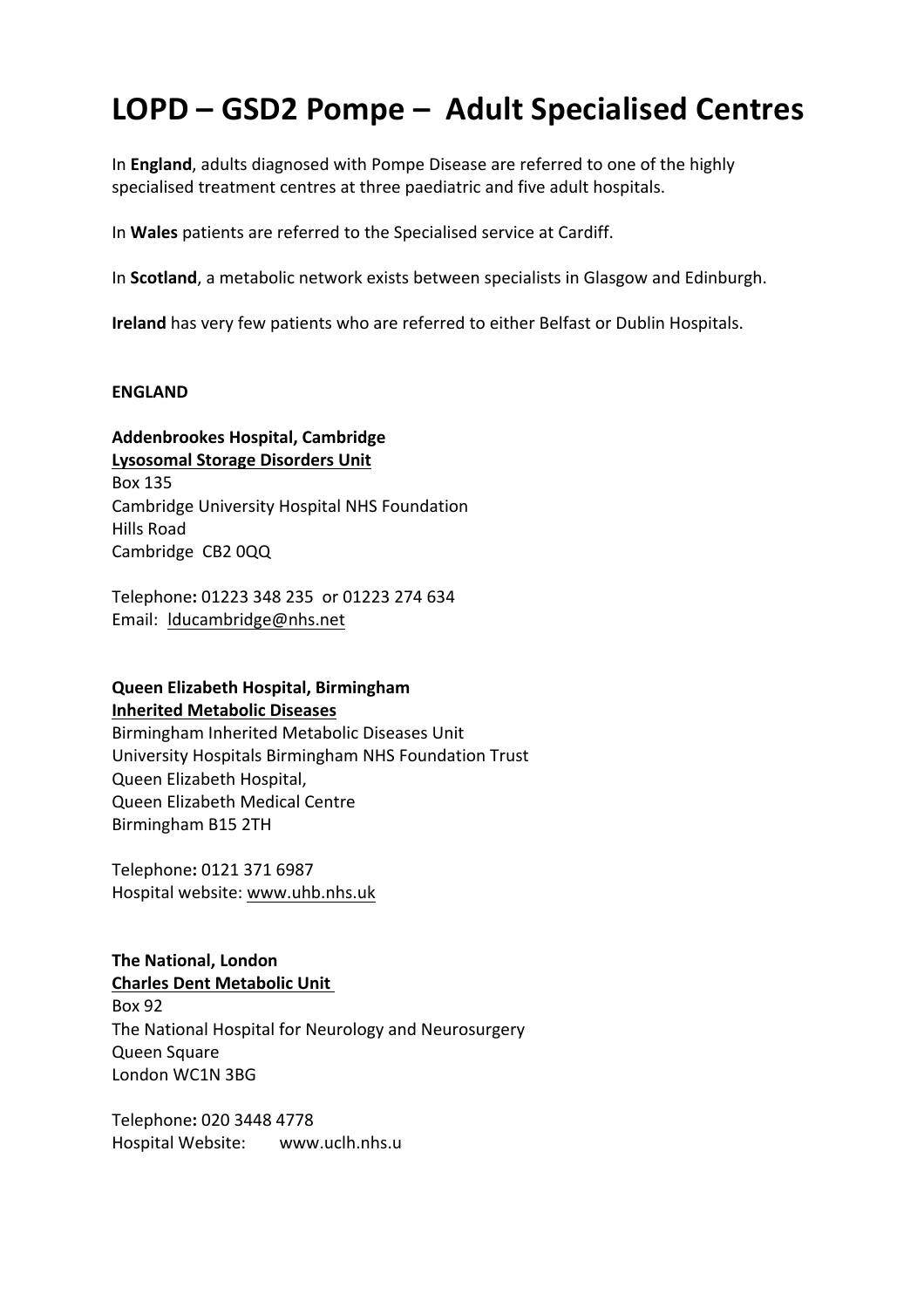# **LOPD – GSD2 Pompe – Adult Specialised Centres**

In **England**, adults diagnosed with Pompe Disease are referred to one of the highly specialised treatment centres at three paediatric and five adult hospitals.

In Wales patients are referred to the Specialised service at Cardiff.

In **Scotland**, a metabolic network exists between specialists in Glasgow and Edinburgh.

**Ireland** has very few patients who are referred to either Belfast or Dublin Hospitals.

#### **ENGLAND**

#### **Addenbrookes Hospital, Cambridge**

**Lysosomal Storage Disorders Unit** Box 135 Cambridge University Hospital NHS Foundation Hills Road Cambridge CB2 0QQ

Telephone**:** 01223 348 235 or 01223 274 634 Email: lducambridge@nhs.net

### **Queen Elizabeth Hospital, Birmingham Inherited Metabolic Diseases**

Birmingham Inherited Metabolic Diseases Unit University Hospitals Birmingham NHS Foundation Trust Queen Elizabeth Hospital, Queen Elizabeth Medical Centre Birmingham B15 2TH

Telephone**:** 0121 371 6987 Hospital website: www.uhb.nhs.uk

# **The National, London Charles Dent Metabolic Unit** Box 92

The National Hospital for Neurology and Neurosurgery Queen Square London WC1N 3BG

Telephone**:** 020 3448 4778 Hospital Website: www.uclh.nhs.u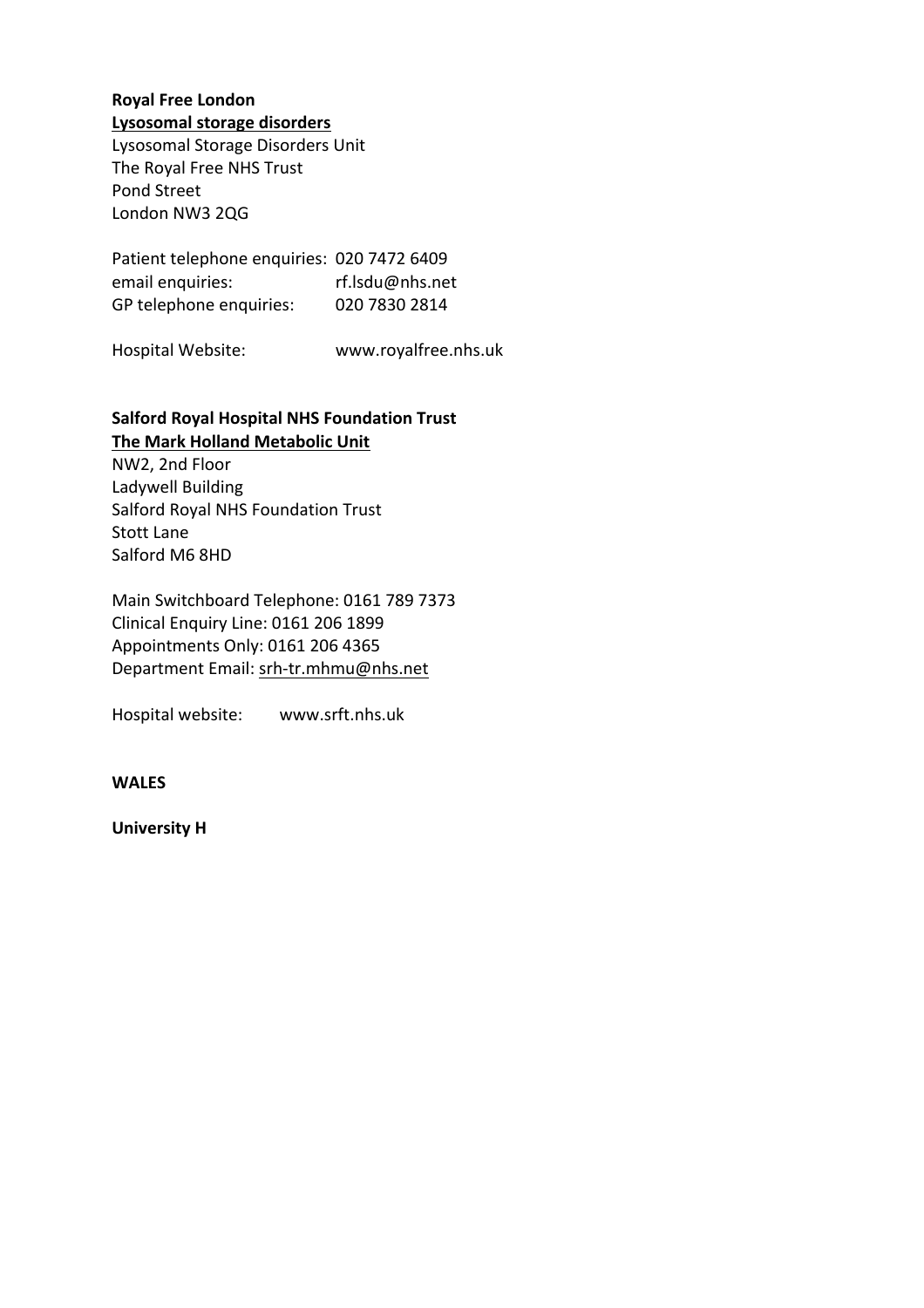#### **Royal Free London Lysosomal storage disorders**

Lysosomal Storage Disorders Unit The Royal Free NHS Trust Pond Street London NW3 2QG

Patient telephone enquiries: 020 7472 6409 email enquiries: rf.lsdu@nhs.net GP telephone enquiries: 020 7830 2814

Hospital Website: www.royalfree.nhs.uk

## **Salford Royal Hospital NHS Foundation Trust The Mark Holland Metabolic Unit**

NW2, 2nd Floor Ladywell Building Salford Royal NHS Foundation Trust Stott Lane Salford M6 8HD

Main Switchboard Telephone: 0161 789 7373 Clinical Enquiry Line: 0161 206 1899 Appointments Only: 0161 206 4365 Department Email: srh-tr.mhmu@nhs.net

Hospital website: www.srft.nhs.uk

**WALES**

**University H**